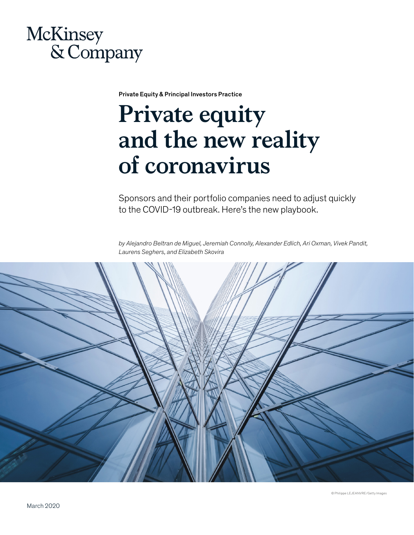

Private Equity & Principal Investors Practice

# **Private equity and the new reality of coronavirus**

Sponsors and their portfolio companies need to adjust quickly to the COVID-19 outbreak. Here's the new playbook.

*by Alejandro Beltran de Miguel, Jeremiah Connolly, Alexander Edlich, Ari Oxman, Vivek Pandit, Laurens Seghers, and Elizabeth Skovira*

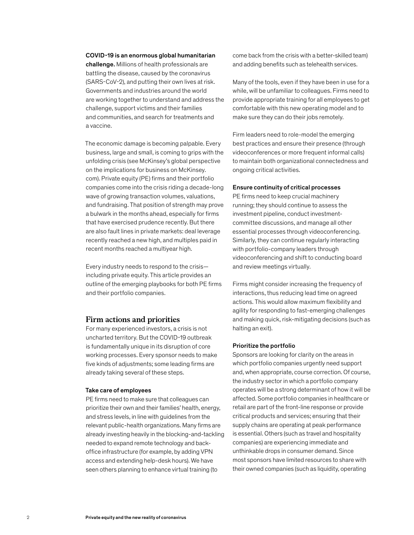#### COVID-19 is an enormous global humanitarian

challenge. Millions of health professionals are battling the disease, caused by the coronavirus (SARS-CoV-2), and putting their own lives at risk. Governments and industries around the world are working together to understand and address the challenge, support victims and their families and communities, and search for treatments and a vaccine.

The economic damage is becoming palpable. Every business, large and small, is coming to grips with the unfolding crisis (see McKinsey's global perspective on the implications for business on McKinsey. com). Private equity (PE) firms and their portfolio companies come into the crisis riding a decade-long wave of growing transaction volumes, valuations, and fundraising. That position of strength may prove a bulwark in the months ahead, especially for firms that have exercised prudence recently. But there are also fault lines in private markets: deal leverage recently reached a new high, and multiples paid in recent months reached a multiyear high.

Every industry needs to respond to the crisis including private equity. This article provides an outline of the emerging playbooks for both PE firms and their portfolio companies.

#### **Firm actions and priorities**

For many experienced investors, a crisis is not uncharted territory. But the COVID-19 outbreak is fundamentally unique in its disruption of core working processes. Every sponsor needs to make five kinds of adjustments; some leading firms are already taking several of these steps.

#### Take care of employees

PE firms need to make sure that colleagues can prioritize their own and their families' health, energy, and stress levels, in line with guidelines from the relevant public-health organizations. Many firms are already investing heavily in the blocking-and-tackling needed to expand remote technology and backoffice infrastructure (for example, by adding VPN access and extending help-desk hours). We have seen others planning to enhance virtual training (to

come back from the crisis with a better-skilled team) and adding benefits such as telehealth services.

Many of the tools, even if they have been in use for a while, will be unfamiliar to colleagues. Firms need to provide appropriate training for all employees to get comfortable with this new operating model and to make sure they can do their jobs remotely.

Firm leaders need to role-model the emerging best practices and ensure their presence (through videoconferences or more frequent informal calls) to maintain both organizational connectedness and ongoing critical activities.

#### Ensure continuity of critical processes

PE firms need to keep crucial machinery running; they should continue to assess the investment pipeline, conduct investmentcommittee discussions, and manage all other essential processes through videoconferencing. Similarly, they can continue regularly interacting with portfolio-company leaders through videoconferencing and shift to conducting board and review meetings virtually.

Firms might consider increasing the frequency of interactions, thus reducing lead time on agreed actions. This would allow maximum flexibility and agility for responding to fast-emerging challenges and making quick, risk-mitigating decisions (such as halting an exit).

#### Prioritize the portfolio

Sponsors are looking for clarity on the areas in which portfolio companies urgently need support and, when appropriate, course correction. Of course, the industry sector in which a portfolio company operates will be a strong determinant of how it will be affected. Some portfolio companies in healthcare or retail are part of the front-line response or provide critical products and services; ensuring that their supply chains are operating at peak performance is essential. Others (such as travel and hospitality companies) are experiencing immediate and unthinkable drops in consumer demand. Since most sponsors have limited resources to share with their owned companies (such as liquidity, operating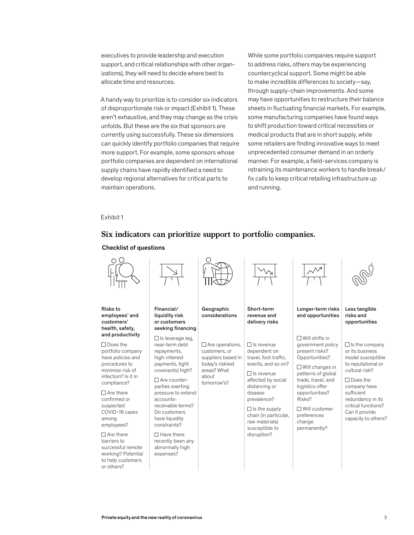executives to provide leadership and execution support, and critical relationships with other organizations), they will need to decide where best to allocate time and resources.

A handy way to prioritize is to consider six indicators of disproportionate risk or impact (Exhibit 1). These aren't exhaustive, and they may change as the crisis unfolds. But these are the six that sponsors are currently using successfully. These six dimensions can quickly identify portfolio companies that require more support. For example, some sponsors whose portfolio companies are dependent on international supply chains have rapidly identified a need to **new reality** retrain develop regional alternatives for critical parts to maintain operations.

While some portfolio companies require support to address risks, others may be experiencing countercyclical support. Some might be able to make incredible differences to society—say, through supply-chain improvements. And some may have opportunities to restructure their balance sheets in fluctuating financial markets. For example, some manufacturing companies have found ways to shift production toward critical necessities or medical products that are in short supply, while some retailers are finding innovative ways to meet unprecedented consumer demand in an orderly manner. For example, a field-services company is retraining its maintenance workers to handle break/ fix calls to keep critical retailing infrastructure up and running.

#### Exhibit 1

#### **Six indicators can prioritize support to portfolio companies.**



Checklist of questions

to help customers or others?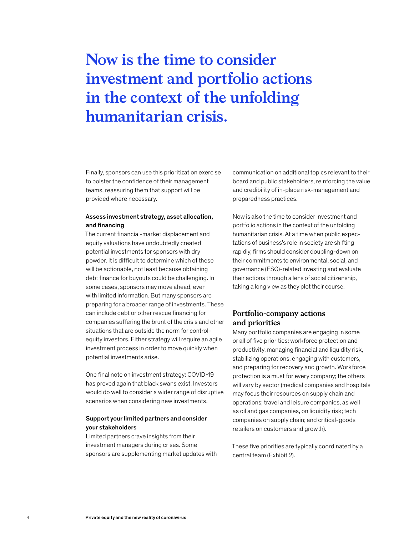## **Now is the time to consider investment and portfolio actions in the context of the unfolding humanitarian crisis.**

Finally, sponsors can use this prioritization exercise to bolster the confidence of their management teams, reassuring them that support will be provided where necessary.

#### Assess investment strategy, asset allocation, and financing

The current financial-market displacement and equity valuations have undoubtedly created potential investments for sponsors with dry powder. It is difficult to determine which of these will be actionable, not least because obtaining debt finance for buyouts could be challenging. In some cases, sponsors may move ahead, even with limited information. But many sponsors are preparing for a broader range of investments. These can include debt or other rescue financing for companies suffering the brunt of the crisis and other situations that are outside the norm for controlequity investors. Either strategy will require an agile investment process in order to move quickly when potential investments arise.

One final note on investment strategy: COVID-19 has proved again that black swans exist. Investors would do well to consider a wider range of disruptive scenarios when considering new investments.

#### Support your limited partners and consider your stakeholders

Limited partners crave insights from their investment managers during crises. Some sponsors are supplementing market updates with

communication on additional topics relevant to their board and public stakeholders, reinforcing the value and credibility of in-place risk-management and preparedness practices.

Now is also the time to consider investment and portfolio actions in the context of the unfolding humanitarian crisis. At a time when public expectations of business's role in society are shifting rapidly, firms should consider doubling-down on their commitments to environmental, social, and governance (ESG)-related investing and evaluate their actions through a lens of social citizenship, taking a long view as they plot their course.

#### **Portfolio-company actions and priorities**

Many portfolio companies are engaging in some or all of five priorities: workforce protection and productivity, managing financial and liquidity risk, stabilizing operations, engaging with customers, and preparing for recovery and growth. Workforce protection is a must for every company; the others will vary by sector (medical companies and hospitals may focus their resources on supply chain and operations; travel and leisure companies, as well as oil and gas companies, on liquidity risk; tech companies on supply chain; and critical-goods retailers on customers and growth).

These five priorities are typically coordinated by a central team (Exhibit 2).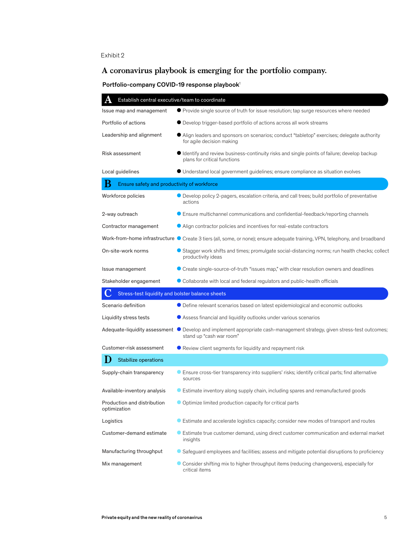#### Exhibit 2

### **A coronavirus playbook is emerging for the portfolio company.**

#### Portfolio-company COVID-19 response playbook<sup>1</sup>

| Establish central executive/team to coordinate   |                                                                                                                                                     |  |
|--------------------------------------------------|-----------------------------------------------------------------------------------------------------------------------------------------------------|--|
| Issue map and management                         | ● Provide single source of truth for issue resolution; tap surge resources where needed                                                             |  |
| Portfolio of actions                             | • Develop trigger-based portfolio of actions across all work streams                                                                                |  |
| Leadership and alignment                         | • Align leaders and sponsors on scenarios; conduct "tabletop" exercises; delegate authority<br>for agile decision making                            |  |
| Risk assessment                                  | Identify and review business-continuity risks and single points of failure; develop backup<br>plans for critical functions                          |  |
| Local guidelines                                 | • Understand local government guidelines; ensure compliance as situation evolves                                                                    |  |
| В<br>Ensure safety and productivity of workforce |                                                                                                                                                     |  |
| Workforce policies                               | • Develop policy 2-pagers, escalation criteria, and call trees; build portfolio of preventative<br>actions                                          |  |
| 2-way outreach                                   | <b>Ensure multichannel communications and confidential-feedback/reporting channels</b>                                                              |  |
| Contractor management                            | Align contractor policies and incentives for real-estate contractors                                                                                |  |
|                                                  | Work-from-home infrastructure C Create 3 tiers (all, some, or none); ensure adequate training, VPN, telephony, and broadband                        |  |
| On-site-work norms                               | Stagger work shifts and times; promulgate social-distancing norms; run health checks; collect<br>productivity ideas                                 |  |
| Issue management                                 | • Create single-source-of-truth "issues map," with clear resolution owners and deadlines                                                            |  |
| Stakeholder engagement                           | • Collaborate with local and federal regulators and public-health officials                                                                         |  |
|                                                  |                                                                                                                                                     |  |
| Stress-test liquidity and bolster balance sheets |                                                                                                                                                     |  |
| Scenario definition                              | • Define relevant scenarios based on latest epidemiological and economic outlooks                                                                   |  |
| Liquidity stress tests                           | ● Assess financial and liquidity outlooks under various scenarios                                                                                   |  |
|                                                  | Adequate-liquidity assessment © Develop and implement appropriate cash-management strategy, given stress-test outcomes;<br>stand up "cash war room" |  |
| Customer-risk assessment                         | Review client segments for liquidity and repayment risk                                                                                             |  |
| <b>Stabilize operations</b>                      |                                                                                                                                                     |  |
| Supply-chain transparency                        | Ensure cross-tier transparency into suppliers' risks; identify critical parts; find alternative<br>sources                                          |  |
| Available-inventory analysis                     | $\bullet$ Estimate inventory along supply chain, including spares and remanufactured goods                                                          |  |
| Production and distribution<br>optimization      | • Optimize limited production capacity for critical parts                                                                                           |  |
| Logistics                                        | Estimate and accelerate logistics capacity; consider new modes of transport and routes                                                              |  |
| Customer-demand estimate                         | Estimate true customer demand, using direct customer communication and external market<br>insights                                                  |  |
| Manufacturing throughput                         | Safeguard employees and facilities; assess and mitigate potential disruptions to proficiency                                                        |  |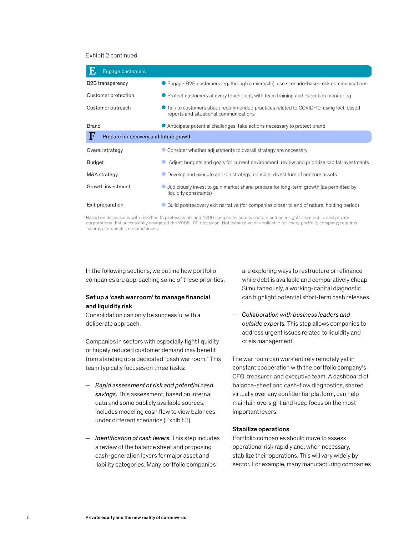#### Exhibit 2 continued

| <b>Engage customers</b>                     |                                                                                                                               |
|---------------------------------------------|-------------------------------------------------------------------------------------------------------------------------------|
| <b>B2B</b> transparency                     | • Engage B2B customers (eg, through a microsite); use scenario-based risk communications                                      |
| Customer protection                         | • Protect customers at every touchpoint, with team training and execution monitoring                                          |
| Customer outreach                           | Talk to customers about recommended practices related to COVID-19, using fact-based<br>reports and situational communications |
| <b>Brand</b>                                | • Anticipate potential challenges, take actions necessary to protect brand                                                    |
| F<br>Prepare for recovery and future growth |                                                                                                                               |
| Overall strategy                            | Consider whether adjustments to overall strategy are necessary                                                                |
| Budget                                      | Adjust budgets and goals for current environment; review and prioritize capital investments                                   |
| M&A strategy                                | Develop and execute add-on strategy; consider divestiture of noncore assets                                                   |
| Growth investment                           | Judiciously invest to gain market share; prepare for long-term growth (as permitted by<br>liquidity constraints)              |
| Exit preparation                            | Build postrecovery exit narrative (for companies closer to end of natural holding period)                                     |

1 Based on discussions with risk/health professionals and >200 companies across sectors and on insights from public and private corporations that successfully navigated the 2008–09 recession. Not exhaustive or applicable for every portfolio company; requires tailoring for specific circumstances.

In the following sections, we outline how portfolio companies are approaching some of these priorities.

#### Set up a 'cash war room' to manage financial and liquidity risk

Consolidation can only be successful with a deliberate approach.

Companies in sectors with especially tight liquidity or hugely reduced customer demand may benefit from standing up a dedicated "cash war room." This team typically focuses on three tasks:

- *Rapid assessment of risk and potential cash savings.* This assessment, based on internal data and some publicly available sources, includes modeling cash flow to view balances under different scenarios (Exhibit 3).
- *Identification of cash levers.* This step includes a review of the balance sheet and proposing cash-generation levers for major asset and liability categories. Many portfolio companies

are exploring ways to restructure or refinance while debt is available and comparatively cheap. Simultaneously, a working-capital diagnostic can highlight potential short-term cash releases.

— *Collaboration with business leaders and outside experts.* This step allows companies to address urgent issues related to liquidity and crisis management.

The war room can work entirely remotely yet in constant cooperation with the portfolio company's CFO, treasurer, and executive team. A dashboard of balance-sheet and cash-flow diagnostics, shared virtually over any confidential platform, can help maintain oversight and keep focus on the most important levers.

#### Stabilize operations

Portfolio companies should move to assess operational risk rapidly and, when necessary, stabilize their operations. This will vary widely by sector. For example, many manufacturing companies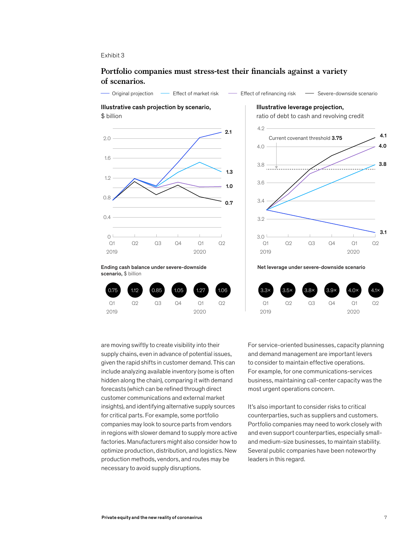#### Exhibit 3

scenario, \$ billion

Q1

#### Portfolio companies must stress-test their financials against a variety **of scenarios.**

Original projection — Effect of market risk — Effect of refinancing risk — Severe-downside scenario



Illustrative leverage projection,

ratio of debt to cash and revolving credit



Net leverage under severe-downside scenario



are moving swiftly to create visibility into their supply chains, even in advance of potential issues, given the rapid shifts in customer demand. This can include analyzing available inventory (some is often hidden along the chain), comparing it with demand forecasts (which can be refined through direct customer communications and external market insights), and identifying alternative supply sources for critical parts. For example, some portfolio companies may look to source parts from vendors in regions with slower demand to supply more active factories. Manufacturers might also consider how to optimize production, distribution, and logistics. New production methods, vendors, and routes may be necessary to avoid supply disruptions.

For service-oriented businesses, capacity planning and demand management are important levers to consider to maintain effective operations. For example, for one communications-services business, maintaining call-center capacity was the most urgent operations concern.

It's also important to consider risks to critical counterparties, such as suppliers and customers. Portfolio companies may need to work closely with and even support counterparties, especially smalland medium-size businesses, to maintain stability. Several public companies have been noteworthy leaders in this regard.